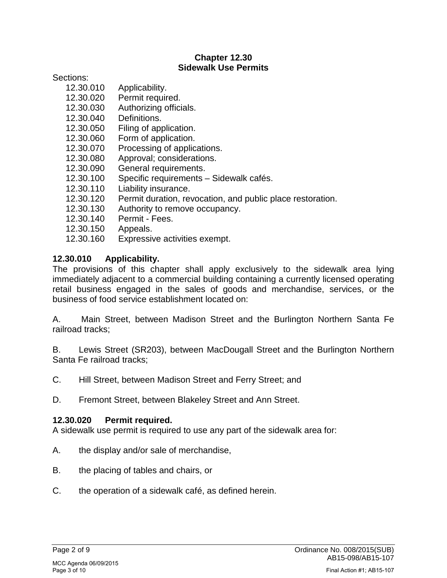#### **Chapter 12.30 Sidewalk Use Permits**

Sections:

- 12.30.010 Applicability.
- 12.30.020 Permit required.
- 12.30.030 Authorizing officials.
- 12.30.040 Definitions.
- 12.30.050 Filing of application.
- 12.30.060 Form of application.
- 12.30.070 Processing of applications.
- 12.30.080 Approval; considerations.
- 12.30.090 General requirements.
- 12.30.100 Specific requirements Sidewalk cafés.
- 12.30.110 Liability insurance.
- 12.30.120 Permit duration, revocation, and public place restoration.
- 12.30.130 Authority to remove occupancy.
- 12.30.140 Permit Fees.
- 12.30.150 Appeals.
- 12.30.160 Expressive activities exempt.

#### **12.30.010 Applicability.**

The provisions of this chapter shall apply exclusively to the sidewalk area lying immediately adjacent to a commercial building containing a currently licensed operating retail business engaged in the sales of goods and merchandise, services, or the business of food service establishment located on:

A. Main Street, between Madison Street and the Burlington Northern Santa Fe railroad tracks;

B. Lewis Street (SR203), between MacDougall Street and the Burlington Northern Santa Fe railroad tracks;

- C. Hill Street, between Madison Street and Ferry Street; and
- D. Fremont Street, between Blakeley Street and Ann Street.

#### **12.30.020 Permit required.**

A sidewalk use permit is required to use any part of the sidewalk area for:

- A. the display and/or sale of merchandise,
- B. the placing of tables and chairs, or
- C. the operation of a sidewalk café, as defined herein.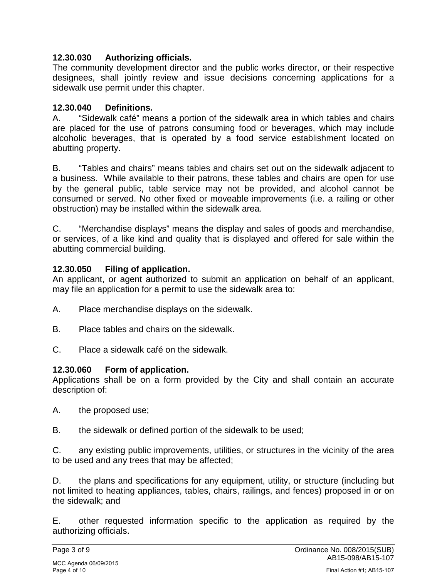#### **12.30.030 Authorizing officials.**

The community development director and the public works director, or their respective designees, shall jointly review and issue decisions concerning applications for a sidewalk use permit under this chapter.

### **12.30.040 Definitions.**

A. "Sidewalk café" means a portion of the sidewalk area in which tables and chairs are placed for the use of patrons consuming food or beverages, which may include alcoholic beverages, that is operated by a food service establishment located on abutting property.

B. "Tables and chairs" means tables and chairs set out on the sidewalk adjacent to a business. While available to their patrons, these tables and chairs are open for use by the general public, table service may not be provided, and alcohol cannot be consumed or served. No other fixed or moveable improvements (i.e. a railing or other obstruction) may be installed within the sidewalk area.

C. "Merchandise displays" means the display and sales of goods and merchandise, or services, of a like kind and quality that is displayed and offered for sale within the abutting commercial building.

### **12.30.050 Filing of application.**

An applicant, or agent authorized to submit an application on behalf of an applicant, may file an application for a permit to use the sidewalk area to:

- A. Place merchandise displays on the sidewalk.
- B. Place tables and chairs on the sidewalk.
- C. Place a sidewalk café on the sidewalk.

# **12.30.060 Form of application.**

Applications shall be on a form provided by the City and shall contain an accurate description of:

- A. the proposed use;
- B. the sidewalk or defined portion of the sidewalk to be used;

C. any existing public improvements, utilities, or structures in the vicinity of the area to be used and any trees that may be affected;

D. the plans and specifications for any equipment, utility, or structure (including but not limited to heating appliances, tables, chairs, railings, and fences) proposed in or on the sidewalk; and

E. other requested information specific to the application as required by the authorizing officials.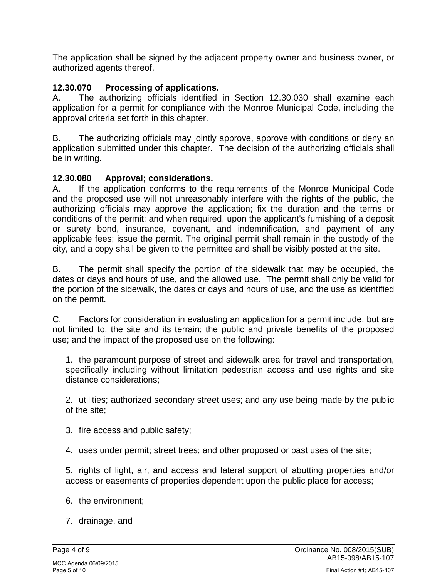The application shall be signed by the adjacent property owner and business owner, or authorized agents thereof.

# **12.30.070 Processing of applications.**

A. The authorizing officials identified in Section 12.30.030 shall examine each application for a permit for compliance with the Monroe Municipal Code, including the approval criteria set forth in this chapter.

B. The authorizing officials may jointly approve, approve with conditions or deny an application submitted under this chapter. The decision of the authorizing officials shall be in writing.

### **12.30.080 Approval; considerations.**

A. If the application conforms to the requirements of the Monroe Municipal Code and the proposed use will not unreasonably interfere with the rights of the public, the authorizing officials may approve the application; fix the duration and the terms or conditions of the permit; and when required, upon the applicant's furnishing of a deposit or surety bond, insurance, covenant, and indemnification, and payment of any applicable fees; issue the permit. The original permit shall remain in the custody of the city, and a copy shall be given to the permittee and shall be visibly posted at the site.

B. The permit shall specify the portion of the sidewalk that may be occupied, the dates or days and hours of use, and the allowed use. The permit shall only be valid for the portion of the sidewalk, the dates or days and hours of use, and the use as identified on the permit.

C. Factors for consideration in evaluating an application for a permit include, but are not limited to, the site and its terrain; the public and private benefits of the proposed use; and the impact of the proposed use on the following:

1. the paramount purpose of street and sidewalk area for travel and transportation, specifically including without limitation pedestrian access and use rights and site distance considerations;

2. utilities; authorized secondary street uses; and any use being made by the public of the site;

- 3. fire access and public safety;
- 4. uses under permit; street trees; and other proposed or past uses of the site;

5. rights of light, air, and access and lateral support of abutting properties and/or access or easements of properties dependent upon the public place for access;

- 6. the environment;
- 7. drainage, and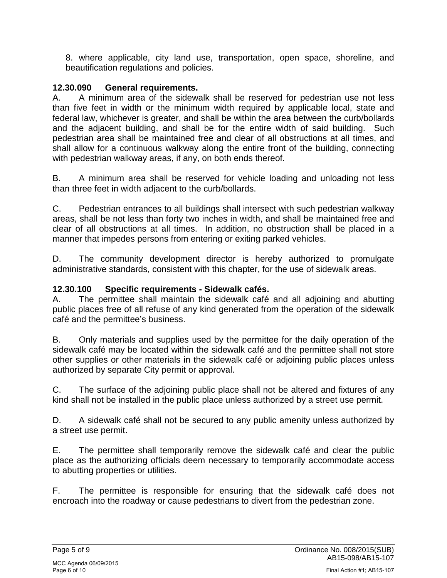8. where applicable, city land use, transportation, open space, shoreline, and beautification regulations and policies.

## **12.30.090 General requirements.**

A. A minimum area of the sidewalk shall be reserved for pedestrian use not less than five feet in width or the minimum width required by applicable local, state and federal law, whichever is greater, and shall be within the area between the curb/bollards and the adjacent building, and shall be for the entire width of said building. Such pedestrian area shall be maintained free and clear of all obstructions at all times, and shall allow for a continuous walkway along the entire front of the building, connecting with pedestrian walkway areas, if any, on both ends thereof.

B. A minimum area shall be reserved for vehicle loading and unloading not less than three feet in width adjacent to the curb/bollards.

C. Pedestrian entrances to all buildings shall intersect with such pedestrian walkway areas, shall be not less than forty two inches in width, and shall be maintained free and clear of all obstructions at all times. In addition, no obstruction shall be placed in a manner that impedes persons from entering or exiting parked vehicles.

D. The community development director is hereby authorized to promulgate administrative standards, consistent with this chapter, for the use of sidewalk areas.

## **12.30.100 Specific requirements - Sidewalk cafés.**

A. The permittee shall maintain the sidewalk café and all adjoining and abutting public places free of all refuse of any kind generated from the operation of the sidewalk café and the permittee's business.

B. Only materials and supplies used by the permittee for the daily operation of the sidewalk café may be located within the sidewalk café and the permittee shall not store other supplies or other materials in the sidewalk café or adjoining public places unless authorized by separate City permit or approval.

C. The surface of the adjoining public place shall not be altered and fixtures of any kind shall not be installed in the public place unless authorized by a street use permit.

D. A sidewalk café shall not be secured to any public amenity unless authorized by a street use permit.

E. The permittee shall temporarily remove the sidewalk café and clear the public place as the authorizing officials deem necessary to temporarily accommodate access to abutting properties or utilities.

F. The permittee is responsible for ensuring that the sidewalk café does not encroach into the roadway or cause pedestrians to divert from the pedestrian zone.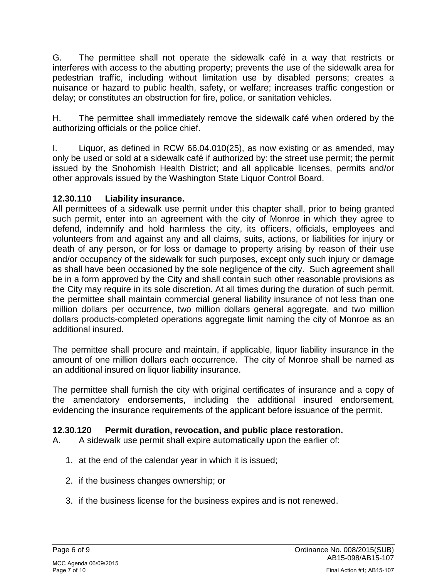G. The permittee shall not operate the sidewalk café in a way that restricts or interferes with access to the abutting property; prevents the use of the sidewalk area for pedestrian traffic, including without limitation use by disabled persons; creates a nuisance or hazard to public health, safety, or welfare; increases traffic congestion or delay; or constitutes an obstruction for fire, police, or sanitation vehicles.

H. The permittee shall immediately remove the sidewalk café when ordered by the authorizing officials or the police chief.

I. Liquor, as defined in RCW 66.04.010(25), as now existing or as amended, may only be used or sold at a sidewalk café if authorized by: the street use permit; the permit issued by the Snohomish Health District; and all applicable licenses, permits and/or other approvals issued by the Washington State Liquor Control Board.

# **12.30.110 Liability insurance.**

All permittees of a sidewalk use permit under this chapter shall, prior to being granted such permit, enter into an agreement with the city of Monroe in which they agree to defend, indemnify and hold harmless the city, its officers, officials, employees and volunteers from and against any and all claims, suits, actions, or liabilities for injury or death of any person, or for loss or damage to property arising by reason of their use and/or occupancy of the sidewalk for such purposes, except only such injury or damage as shall have been occasioned by the sole negligence of the city. Such agreement shall be in a form approved by the City and shall contain such other reasonable provisions as the City may require in its sole discretion. At all times during the duration of such permit, the permittee shall maintain commercial general liability insurance of not less than one million dollars per occurrence, two million dollars general aggregate, and two million dollars products-completed operations aggregate limit naming the city of Monroe as an additional insured.

The permittee shall procure and maintain, if applicable, liquor liability insurance in the amount of one million dollars each occurrence. The city of Monroe shall be named as an additional insured on liquor liability insurance.

The permittee shall furnish the city with original certificates of insurance and a copy of the amendatory endorsements, including the additional insured endorsement, evidencing the insurance requirements of the applicant before issuance of the permit.

# **12.30.120 Permit duration, revocation, and public place restoration.**

- A. A sidewalk use permit shall expire automatically upon the earlier of:
	- 1. at the end of the calendar year in which it is issued;
	- 2. if the business changes ownership; or
	- 3. if the business license for the business expires and is not renewed.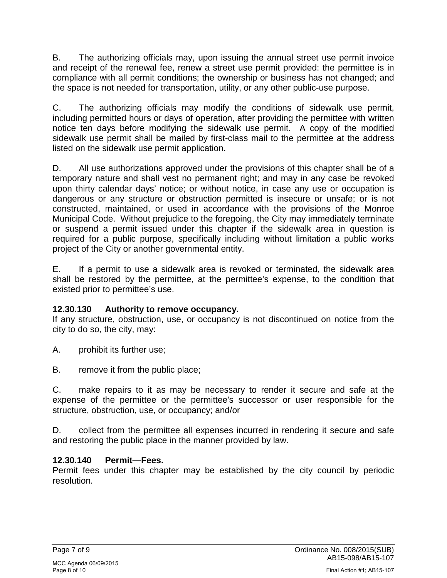B. The authorizing officials may, upon issuing the annual street use permit invoice and receipt of the renewal fee, renew a street use permit provided: the permittee is in compliance with all permit conditions; the ownership or business has not changed; and the space is not needed for transportation, utility, or any other public-use purpose.

C. The authorizing officials may modify the conditions of sidewalk use permit, including permitted hours or days of operation, after providing the permittee with written notice ten days before modifying the sidewalk use permit. A copy of the modified sidewalk use permit shall be mailed by first-class mail to the permittee at the address listed on the sidewalk use permit application.

D. All use authorizations approved under the provisions of this chapter shall be of a temporary nature and shall vest no permanent right; and may in any case be revoked upon thirty calendar days' notice; or without notice, in case any use or occupation is dangerous or any structure or obstruction permitted is insecure or unsafe; or is not constructed, maintained, or used in accordance with the provisions of the Monroe Municipal Code. Without prejudice to the foregoing, the City may immediately terminate or suspend a permit issued under this chapter if the sidewalk area in question is required for a public purpose, specifically including without limitation a public works project of the City or another governmental entity.

E. If a permit to use a sidewalk area is revoked or terminated, the sidewalk area shall be restored by the permittee, at the permittee's expense, to the condition that existed prior to permittee's use.

# **12.30.130 Authority to remove occupancy.**

If any structure, obstruction, use, or occupancy is not discontinued on notice from the city to do so, the city, may:

- A. prohibit its further use;
- B. remove it from the public place;

C. make repairs to it as may be necessary to render it secure and safe at the expense of the permittee or the permittee's successor or user responsible for the structure, obstruction, use, or occupancy; and/or

D. collect from the permittee all expenses incurred in rendering it secure and safe and restoring the public place in the manner provided by law.

# **12.30.140 Permit—Fees.**

Permit fees under this chapter may be established by the city council by periodic resolution.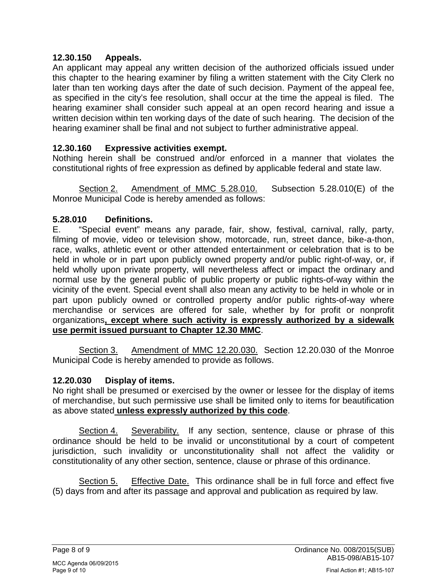### **12.30.150 Appeals.**

An applicant may appeal any written decision of the authorized officials issued under this chapter to the hearing examiner by filing a written statement with the City Clerk no later than ten working days after the date of such decision. Payment of the appeal fee, as specified in the city's fee resolution, shall occur at the time the appeal is filed. The hearing examiner shall consider such appeal at an open record hearing and issue a written decision within ten working days of the date of such hearing. The decision of the hearing examiner shall be final and not subject to further administrative appeal.

### **12.30.160 Expressive activities exempt.**

Nothing herein shall be construed and/or enforced in a manner that violates the constitutional rights of free expression as defined by applicable federal and state law.

Section 2. Amendment of MMC 5.28.010. Subsection 5.28.010(E) of the Monroe Municipal Code is hereby amended as follows:

#### **5.28.010 Definitions.**

E. "Special event" means any parade, fair, show, festival, carnival, rally, party, filming of movie, video or television show, motorcade, run, street dance, bike-a-thon, race, walks, athletic event or other attended entertainment or celebration that is to be held in whole or in part upon publicly owned property and/or public right-of-way, or, if held wholly upon private property, will nevertheless affect or impact the ordinary and normal use by the general public of public property or public rights-of-way within the vicinity of the event. Special event shall also mean any activity to be held in whole or in part upon publicly owned or controlled property and/or public rights-of-way where merchandise or services are offered for sale, whether by for profit or nonprofit organizations**, except where such activity is expressly authorized by a sidewalk use permit issued pursuant to Chapter 12.30 MMC**.

Section 3. Amendment of MMC 12.20.030. Section 12.20.030 of the Monroe Municipal Code is hereby amended to provide as follows.

#### **12.20.030 Display of items.**

No right shall be presumed or exercised by the owner or lessee for the display of items of merchandise, but such permissive use shall be limited only to items for beautification as above stated **unless expressly authorized by this code**.

Section 4. Severability. If any section, sentence, clause or phrase of this ordinance should be held to be invalid or unconstitutional by a court of competent jurisdiction, such invalidity or unconstitutionality shall not affect the validity or constitutionality of any other section, sentence, clause or phrase of this ordinance.

Section 5. Effective Date. This ordinance shall be in full force and effect five (5) days from and after its passage and approval and publication as required by law.